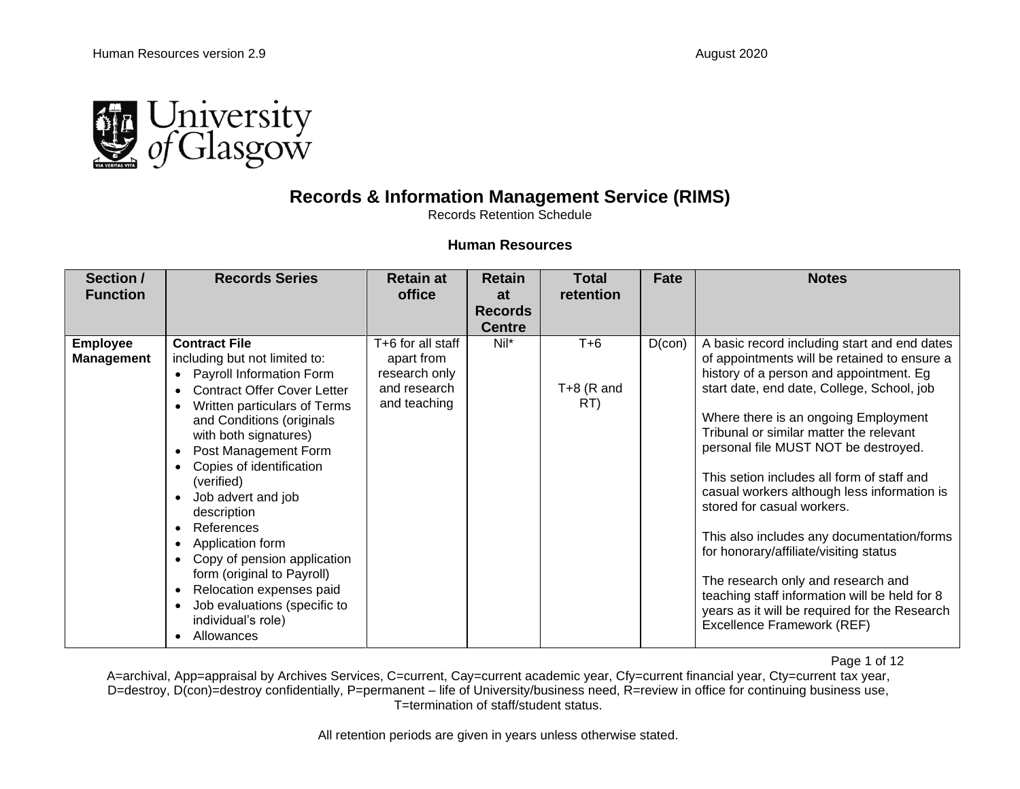

## **Records & Information Management Service (RIMS)**

Records Retention Schedule

## **Human Resources**

| Section /<br><b>Function</b>         | <b>Records Series</b>                                                                                                                                                                                                                                                                                                                                                                                                                                                                                                                                      | <b>Retain at</b><br>office                                                       | <b>Retain</b><br>at<br><b>Records</b><br><b>Centre</b> | <b>Total</b><br>retention    | Fate      | <b>Notes</b>                                                                                                                                                                                                                                                                                                                                                                                                                                                                                                                                                                                                                                                                                              |
|--------------------------------------|------------------------------------------------------------------------------------------------------------------------------------------------------------------------------------------------------------------------------------------------------------------------------------------------------------------------------------------------------------------------------------------------------------------------------------------------------------------------------------------------------------------------------------------------------------|----------------------------------------------------------------------------------|--------------------------------------------------------|------------------------------|-----------|-----------------------------------------------------------------------------------------------------------------------------------------------------------------------------------------------------------------------------------------------------------------------------------------------------------------------------------------------------------------------------------------------------------------------------------------------------------------------------------------------------------------------------------------------------------------------------------------------------------------------------------------------------------------------------------------------------------|
| <b>Employee</b><br><b>Management</b> | <b>Contract File</b><br>including but not limited to:<br>Payroll Information Form<br>$\bullet$<br><b>Contract Offer Cover Letter</b><br>Written particulars of Terms<br>and Conditions (originals<br>with both signatures)<br>Post Management Form<br>Copies of identification<br>(verified)<br>Job advert and job<br>$\bullet$<br>description<br>References<br>$\bullet$<br>Application form<br>Copy of pension application<br>form (original to Payroll)<br>Relocation expenses paid<br>Job evaluations (specific to<br>individual's role)<br>Allowances | T+6 for all staff<br>apart from<br>research only<br>and research<br>and teaching | Nil*                                                   | $T+6$<br>$T+8$ (R and<br>RT) | $D$ (con) | A basic record including start and end dates<br>of appointments will be retained to ensure a<br>history of a person and appointment. Eg<br>start date, end date, College, School, job<br>Where there is an ongoing Employment<br>Tribunal or similar matter the relevant<br>personal file MUST NOT be destroyed.<br>This setion includes all form of staff and<br>casual workers although less information is<br>stored for casual workers.<br>This also includes any documentation/forms<br>for honorary/affiliate/visiting status<br>The research only and research and<br>teaching staff information will be held for 8<br>years as it will be required for the Research<br>Excellence Framework (REF) |

Page 1 of 12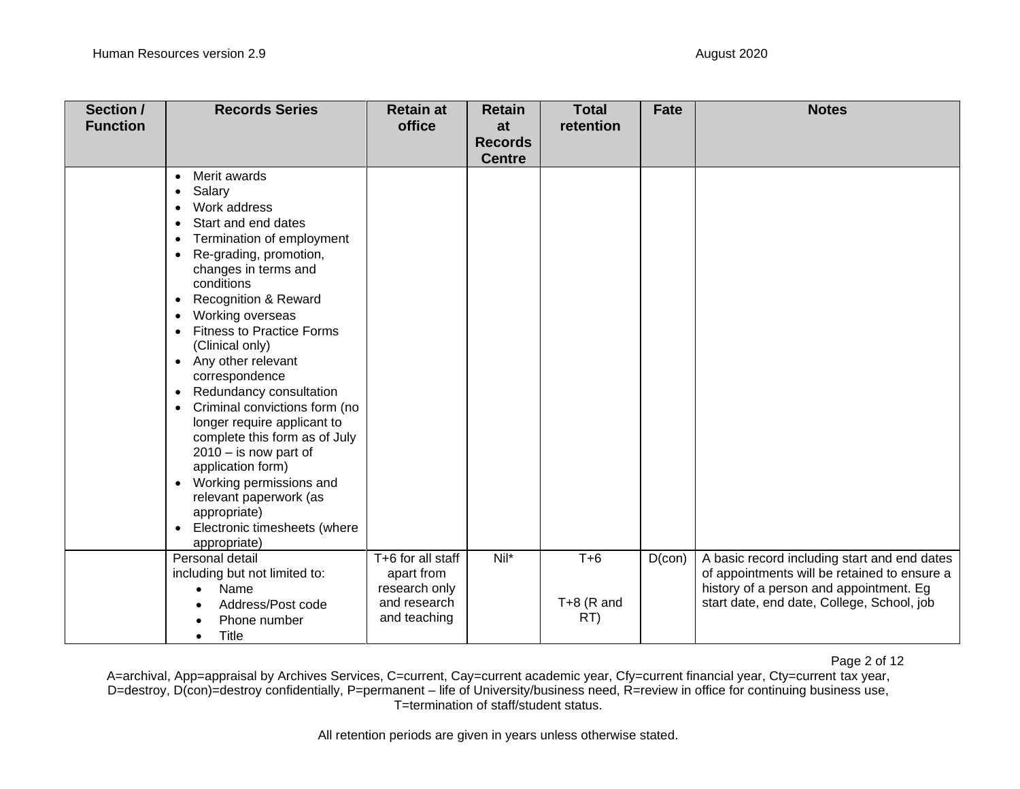| Section /<br><b>Function</b> | <b>Records Series</b>                                                                                                                                                                                                                                                                                                                                                                                                                                                                                                                                                                                                                                                                                             | <b>Retain at</b><br>office                                                       | <b>Retain</b><br>at<br><b>Records</b><br><b>Centre</b> | <b>Total</b><br>retention    | <b>Fate</b> | <b>Notes</b>                                                                                                                                                                          |
|------------------------------|-------------------------------------------------------------------------------------------------------------------------------------------------------------------------------------------------------------------------------------------------------------------------------------------------------------------------------------------------------------------------------------------------------------------------------------------------------------------------------------------------------------------------------------------------------------------------------------------------------------------------------------------------------------------------------------------------------------------|----------------------------------------------------------------------------------|--------------------------------------------------------|------------------------------|-------------|---------------------------------------------------------------------------------------------------------------------------------------------------------------------------------------|
|                              | Merit awards<br>$\bullet$<br>Salary<br>٠<br>Work address<br>Start and end dates<br>Termination of employment<br>Re-grading, promotion,<br>changes in terms and<br>conditions<br><b>Recognition &amp; Reward</b><br>$\bullet$<br>Working overseas<br>$\bullet$<br><b>Fitness to Practice Forms</b><br>(Clinical only)<br>Any other relevant<br>$\bullet$<br>correspondence<br>Redundancy consultation<br>$\bullet$<br>Criminal convictions form (no<br>longer require applicant to<br>complete this form as of July<br>$2010 -$ is now part of<br>application form)<br>Working permissions and<br>$\bullet$<br>relevant paperwork (as<br>appropriate)<br>Electronic timesheets (where<br>$\bullet$<br>appropriate) |                                                                                  |                                                        |                              |             |                                                                                                                                                                                       |
|                              | Personal detail<br>including but not limited to:<br>Name<br>$\bullet$<br>Address/Post code<br>Phone number<br>Title<br>$\bullet$                                                                                                                                                                                                                                                                                                                                                                                                                                                                                                                                                                                  | T+6 for all staff<br>apart from<br>research only<br>and research<br>and teaching | $Nil*$                                                 | $T+6$<br>$T+8$ (R and<br>RT) | $D$ (con)   | A basic record including start and end dates<br>of appointments will be retained to ensure a<br>history of a person and appointment. Eg<br>start date, end date, College, School, job |

Page 2 of 12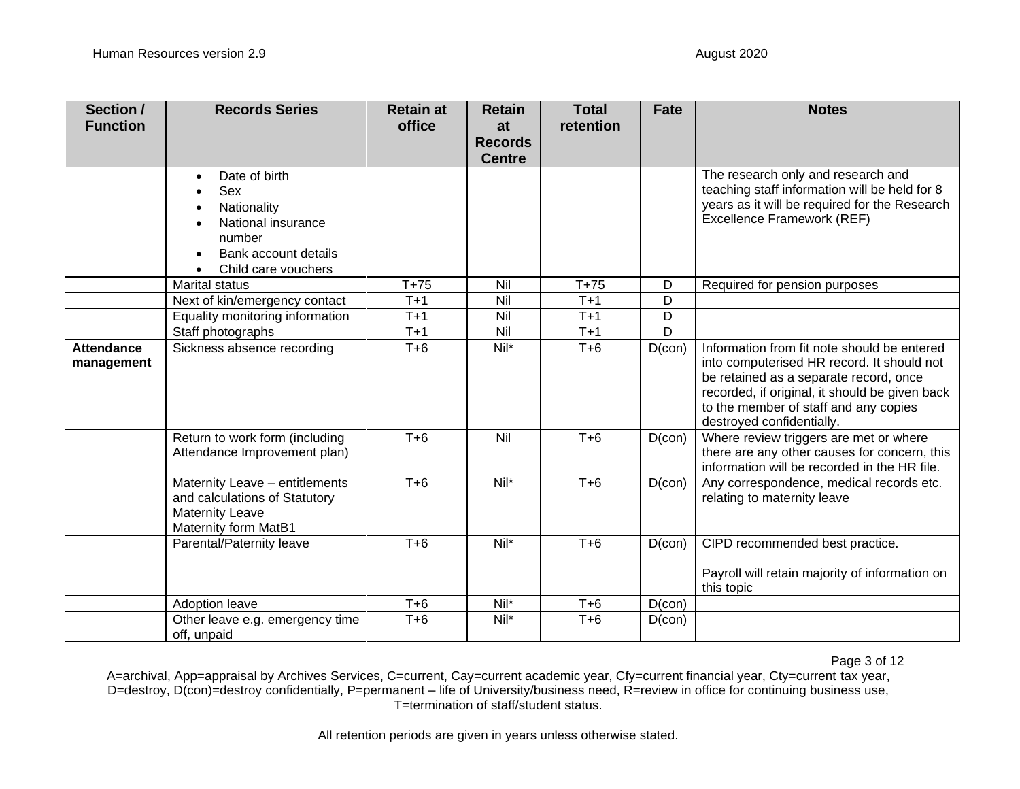| Section /<br><b>Function</b>    | <b>Records Series</b>                                                                                                           | <b>Retain at</b><br>office | <b>Retain</b><br>at | <b>Total</b><br>retention | Fate      | <b>Notes</b>                                                                                                                                                                                                                                                |
|---------------------------------|---------------------------------------------------------------------------------------------------------------------------------|----------------------------|---------------------|---------------------------|-----------|-------------------------------------------------------------------------------------------------------------------------------------------------------------------------------------------------------------------------------------------------------------|
|                                 |                                                                                                                                 |                            | <b>Records</b>      |                           |           |                                                                                                                                                                                                                                                             |
|                                 |                                                                                                                                 |                            | <b>Centre</b>       |                           |           |                                                                                                                                                                                                                                                             |
|                                 | Date of birth<br>$\bullet$<br>Sex<br>Nationality<br>National insurance<br>number<br>Bank account details<br>Child care vouchers |                            |                     |                           |           | The research only and research and<br>teaching staff information will be held for 8<br>years as it will be required for the Research<br>Excellence Framework (REF)                                                                                          |
|                                 | <b>Marital status</b>                                                                                                           | $T+75$                     | Nil                 | $T+75$                    | D         | Required for pension purposes                                                                                                                                                                                                                               |
|                                 | Next of kin/emergency contact                                                                                                   | $T+1$                      | Nil                 | $T+1$                     | D         |                                                                                                                                                                                                                                                             |
|                                 | Equality monitoring information                                                                                                 | $T+1$                      | Nil                 | $T+1$                     | D         |                                                                                                                                                                                                                                                             |
|                                 | Staff photographs                                                                                                               | $T+1$                      | Nil                 | $T+1$                     | D         |                                                                                                                                                                                                                                                             |
| <b>Attendance</b><br>management | Sickness absence recording                                                                                                      | $T + 6$                    | $Nil*$              | $T+6$                     | $D$ (con) | Information from fit note should be entered<br>into computerised HR record. It should not<br>be retained as a separate record, once<br>recorded, if original, it should be given back<br>to the member of staff and any copies<br>destroyed confidentially. |
|                                 | Return to work form (including<br>Attendance Improvement plan)                                                                  | $T + 6$                    | Nil                 | $T + 6$                   | $D$ (con) | Where review triggers are met or where<br>there are any other causes for concern, this<br>information will be recorded in the HR file.                                                                                                                      |
|                                 | Maternity Leave - entitlements<br>and calculations of Statutory<br><b>Maternity Leave</b><br>Maternity form MatB1               | $T+6$                      | $Nil^*$             | $T+6$                     | $D$ (con) | Any correspondence, medical records etc.<br>relating to maternity leave                                                                                                                                                                                     |
|                                 | Parental/Paternity leave                                                                                                        | $T + 6$                    | Nil*                | $T + 6$                   | $D$ (con) | CIPD recommended best practice.<br>Payroll will retain majority of information on<br>this topic                                                                                                                                                             |
|                                 | Adoption leave                                                                                                                  | $T+6$                      | Nil*                | $T+6$                     | $D$ (con) |                                                                                                                                                                                                                                                             |
|                                 | Other leave e.g. emergency time<br>off, unpaid                                                                                  | $T+6$                      | Nil*                | $T+6$                     | $D$ (con) |                                                                                                                                                                                                                                                             |

Page 3 of 12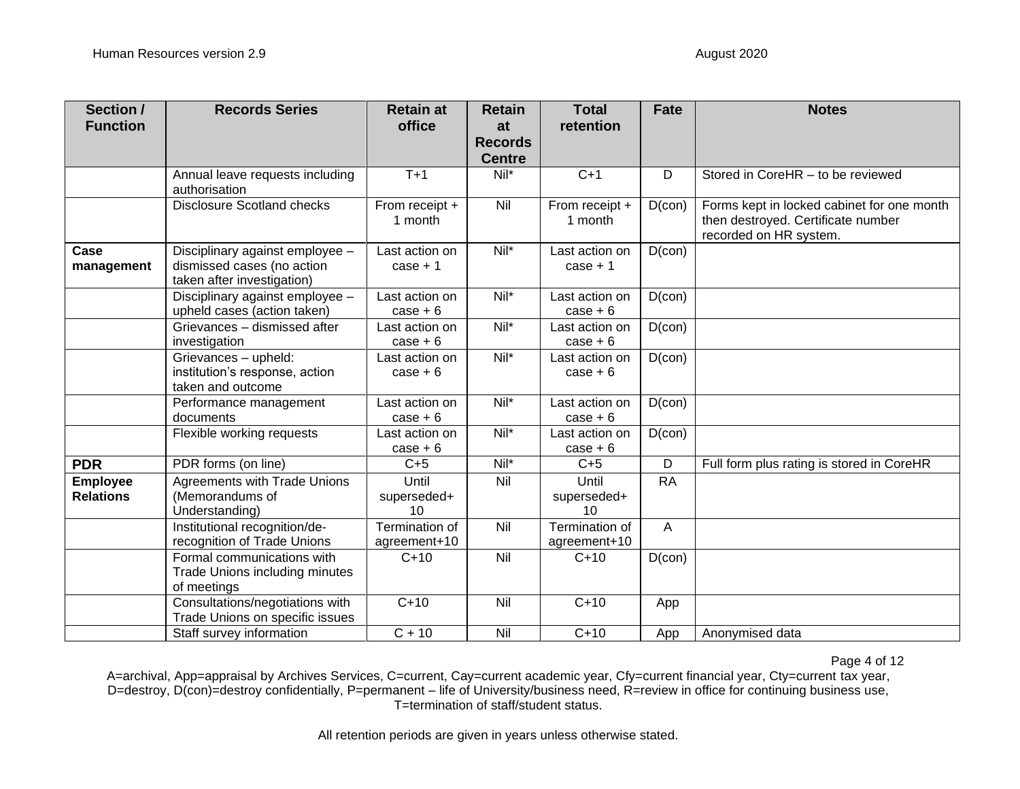| Section /<br><b>Function</b>        | <b>Records Series</b>                                                                       | <b>Retain at</b><br>office     | <b>Retain</b><br>at<br><b>Records</b><br><b>Centre</b> | <b>Total</b><br>retention      | <b>Fate</b> | <b>Notes</b>                                                                                               |
|-------------------------------------|---------------------------------------------------------------------------------------------|--------------------------------|--------------------------------------------------------|--------------------------------|-------------|------------------------------------------------------------------------------------------------------------|
|                                     | Annual leave requests including<br>authorisation                                            | $T+1$                          | $Nil*$                                                 | $C+1$                          | D           | Stored in CoreHR - to be reviewed                                                                          |
|                                     | <b>Disclosure Scotland checks</b>                                                           | From receipt +<br>1 month      | Nil                                                    | From receipt +<br>1 month      | $D$ (con)   | Forms kept in locked cabinet for one month<br>then destroyed. Certificate number<br>recorded on HR system. |
| Case<br>management                  | Disciplinary against employee -<br>dismissed cases (no action<br>taken after investigation) | Last action on<br>$case + 1$   | $Nil^*$                                                | Last action on<br>$case + 1$   | $D$ (con)   |                                                                                                            |
|                                     | Disciplinary against employee -<br>upheld cases (action taken)                              | Last action on<br>$case + 6$   | Nil*                                                   | Last action on<br>$case + 6$   | $D$ (con)   |                                                                                                            |
|                                     | Grievances - dismissed after<br>investigation                                               | Last action on<br>$case + 6$   | Nil*                                                   | Last action on<br>$case + 6$   | $D$ (con)   |                                                                                                            |
|                                     | Grievances - upheld:<br>institution's response, action<br>taken and outcome                 | Last action on<br>$case + 6$   | Nil*                                                   | Last action on<br>$case + 6$   | $D$ (con)   |                                                                                                            |
|                                     | Performance management<br>documents                                                         | Last action on<br>$case + 6$   | Nil*                                                   | Last action on<br>$case + 6$   | $D$ (con)   |                                                                                                            |
|                                     | Flexible working requests                                                                   | Last action on<br>$case + 6$   | Nil*                                                   | Last action on<br>$case + 6$   | $D$ (con)   |                                                                                                            |
| <b>PDR</b>                          | PDR forms (on line)                                                                         | $C+5$                          | $Nil*$                                                 | $C+5$                          | D           | Full form plus rating is stored in CoreHR                                                                  |
| <b>Employee</b><br><b>Relations</b> | <b>Agreements with Trade Unions</b><br>(Memorandums of<br>Understanding)                    | Until<br>superseded+<br>10     | Nil                                                    | Until<br>superseded+<br>10     | <b>RA</b>   |                                                                                                            |
|                                     | Institutional recognition/de-<br>recognition of Trade Unions                                | Termination of<br>agreement+10 | Nil                                                    | Termination of<br>agreement+10 | A           |                                                                                                            |
|                                     | Formal communications with<br>Trade Unions including minutes<br>of meetings                 | $C+10$                         | Nil                                                    | $C+10$                         | $D$ (con)   |                                                                                                            |
|                                     | Consultations/negotiations with<br>Trade Unions on specific issues                          | $C+10$                         | Nil                                                    | $C+10$                         | App         |                                                                                                            |
|                                     | Staff survey information                                                                    | $C + 10$                       | Nil                                                    | $C+10$                         | App         | Anonymised data                                                                                            |

Page 4 of 12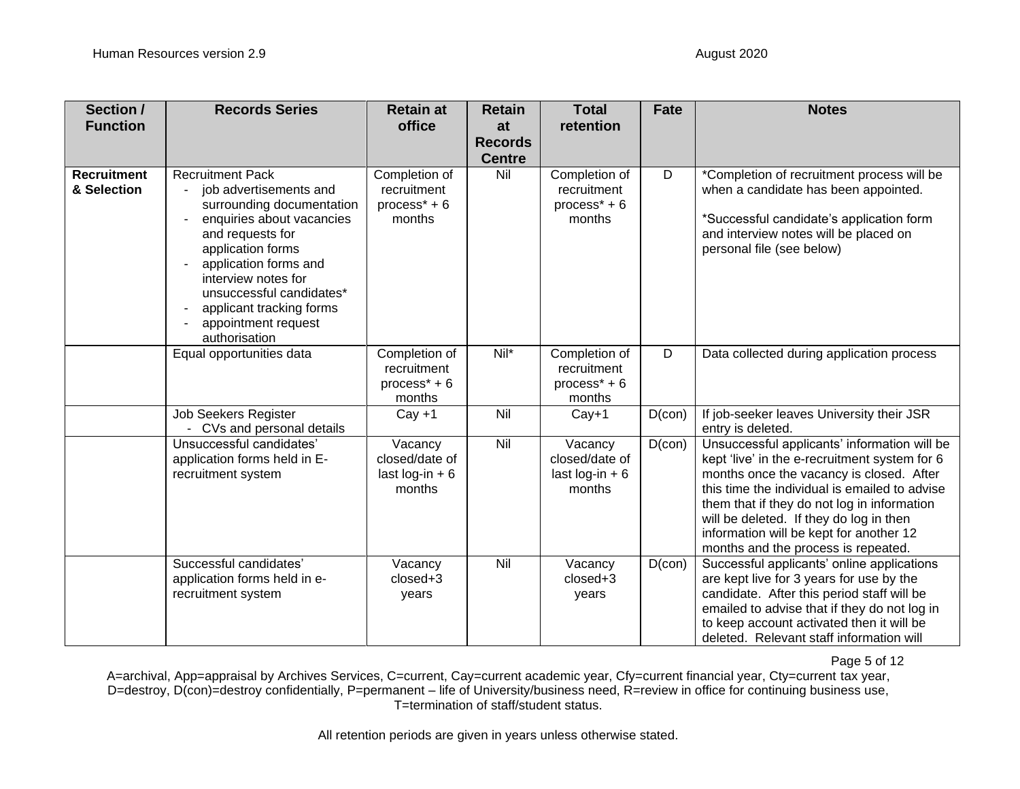| Section /<br><b>Function</b>      | <b>Records Series</b>                                                                                                                                                                                                                                                                                | <b>Retain at</b><br>office                                | <b>Retain</b><br>at<br><b>Records</b><br><b>Centre</b> | <b>Total</b><br>retention                                                       | <b>Fate</b> | <b>Notes</b>                                                                                                                                                                                                                                                                                                                                                           |
|-----------------------------------|------------------------------------------------------------------------------------------------------------------------------------------------------------------------------------------------------------------------------------------------------------------------------------------------------|-----------------------------------------------------------|--------------------------------------------------------|---------------------------------------------------------------------------------|-------------|------------------------------------------------------------------------------------------------------------------------------------------------------------------------------------------------------------------------------------------------------------------------------------------------------------------------------------------------------------------------|
| <b>Recruitment</b><br>& Selection | <b>Recruitment Pack</b><br>job advertisements and<br>surrounding documentation<br>enquiries about vacancies<br>and requests for<br>application forms<br>application forms and<br>interview notes for<br>unsuccessful candidates*<br>applicant tracking forms<br>appointment request<br>authorisation | Completion of<br>recruitment<br>$process* + 6$<br>months  | Nil                                                    | Completion of<br>recruitment<br>$process* + 6$<br>months                        | D           | *Completion of recruitment process will be<br>when a candidate has been appointed.<br>*Successful candidate's application form<br>and interview notes will be placed on<br>personal file (see below)                                                                                                                                                                   |
|                                   | Equal opportunities data                                                                                                                                                                                                                                                                             | Completion of<br>recruitment<br>process $* + 6$<br>months | Nil*                                                   | Completion of<br>recruitment<br>process <sup><math>*</math></sup> + 6<br>months | D           | Data collected during application process                                                                                                                                                                                                                                                                                                                              |
|                                   | Job Seekers Register<br>- CVs and personal details                                                                                                                                                                                                                                                   | $Cay + 1$                                                 | Nil                                                    | $Cay+1$                                                                         | $D$ (con)   | If job-seeker leaves University their JSR<br>entry is deleted.                                                                                                                                                                                                                                                                                                         |
|                                   | Unsuccessful candidates'<br>application forms held in E-<br>recruitment system                                                                                                                                                                                                                       | Vacancy<br>closed/date of<br>last $log-in + 6$<br>months  | Nil                                                    | Vacancy<br>closed/date of<br>last $log-in + 6$<br>months                        | $D$ (con)   | Unsuccessful applicants' information will be<br>kept 'live' in the e-recruitment system for 6<br>months once the vacancy is closed. After<br>this time the individual is emailed to advise<br>them that if they do not log in information<br>will be deleted. If they do log in then<br>information will be kept for another 12<br>months and the process is repeated. |
|                                   | Successful candidates'<br>application forms held in e-<br>recruitment system                                                                                                                                                                                                                         | Vacancy<br>closed+3<br>years                              | Nil                                                    | Vacancy<br>closed+3<br>years                                                    | $D$ (con)   | Successful applicants' online applications<br>are kept live for 3 years for use by the<br>candidate. After this period staff will be<br>emailed to advise that if they do not log in<br>to keep account activated then it will be<br>deleted. Relevant staff information will                                                                                          |

Page 5 of 12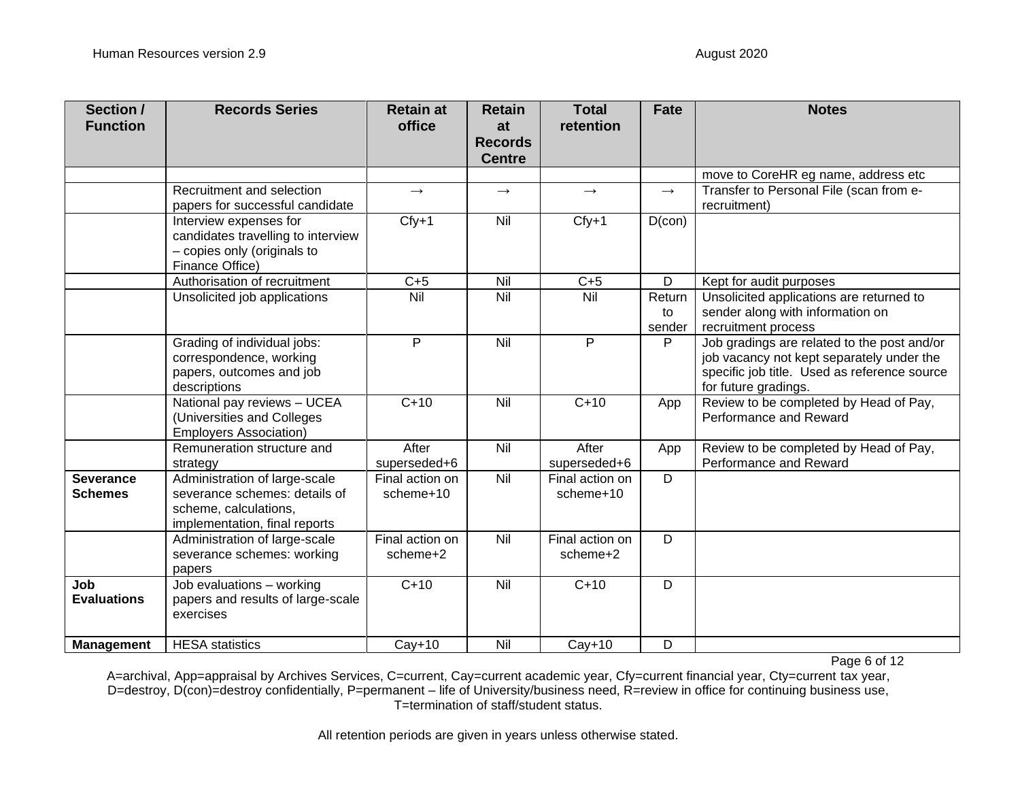| Section /<br><b>Function</b>       | <b>Records Series</b>                                                                                                    | <b>Retain at</b><br>office   | <b>Retain</b><br>at<br><b>Records</b><br><b>Centre</b> | <b>Total</b><br>retention    | <b>Fate</b>            | <b>Notes</b>                                                                                                                                                     |
|------------------------------------|--------------------------------------------------------------------------------------------------------------------------|------------------------------|--------------------------------------------------------|------------------------------|------------------------|------------------------------------------------------------------------------------------------------------------------------------------------------------------|
|                                    |                                                                                                                          |                              |                                                        |                              |                        | move to CoreHR eg name, address etc                                                                                                                              |
|                                    | Recruitment and selection<br>papers for successful candidate                                                             | $\rightarrow$                | $\longrightarrow$                                      | $\longrightarrow$            | $\rightarrow$          | Transfer to Personal File (scan from e-<br>recruitment)                                                                                                          |
|                                    | Interview expenses for<br>candidates travelling to interview<br>- copies only (originals to<br>Finance Office)           | $Cfy+1$                      | Nil                                                    | $Cfy+1$                      | $D$ (con)              |                                                                                                                                                                  |
|                                    | Authorisation of recruitment                                                                                             | $C+5$                        | Nil                                                    | $C+5$                        | D                      | Kept for audit purposes                                                                                                                                          |
|                                    | Unsolicited job applications                                                                                             | $\overline{N}$ il            | Nil                                                    | Nil                          | Return<br>to<br>sender | Unsolicited applications are returned to<br>sender along with information on<br>recruitment process                                                              |
|                                    | Grading of individual jobs:<br>correspondence, working<br>papers, outcomes and job<br>descriptions                       | P                            | Nil                                                    | P                            | P                      | Job gradings are related to the post and/or<br>job vacancy not kept separately under the<br>specific job title. Used as reference source<br>for future gradings. |
|                                    | National pay reviews - UCEA<br>(Universities and Colleges<br><b>Employers Association)</b>                               | $C+10$                       | Nil                                                    | $C+10$                       | App                    | Review to be completed by Head of Pay,<br>Performance and Reward                                                                                                 |
|                                    | Remuneration structure and<br>strategy                                                                                   | After<br>superseded+6        | Nil                                                    | After<br>superseded+6        | App                    | Review to be completed by Head of Pay,<br>Performance and Reward                                                                                                 |
| <b>Severance</b><br><b>Schemes</b> | Administration of large-scale<br>severance schemes: details of<br>scheme, calculations,<br>implementation, final reports | Final action on<br>scheme+10 | Nil                                                    | Final action on<br>scheme+10 | D                      |                                                                                                                                                                  |
|                                    | Administration of large-scale<br>severance schemes: working<br>papers                                                    | Final action on<br>scheme+2  | Nil                                                    | Final action on<br>scheme+2  | D                      |                                                                                                                                                                  |
| Job<br><b>Evaluations</b>          | Job evaluations - working<br>papers and results of large-scale<br>exercises                                              | $C+10$                       | Nil                                                    | $C+10$                       | D                      |                                                                                                                                                                  |
| <b>Management</b>                  | <b>HESA</b> statistics                                                                                                   | $Cay+10$                     | Nil                                                    | $Cay+10$                     | D                      |                                                                                                                                                                  |

Page 6 of 12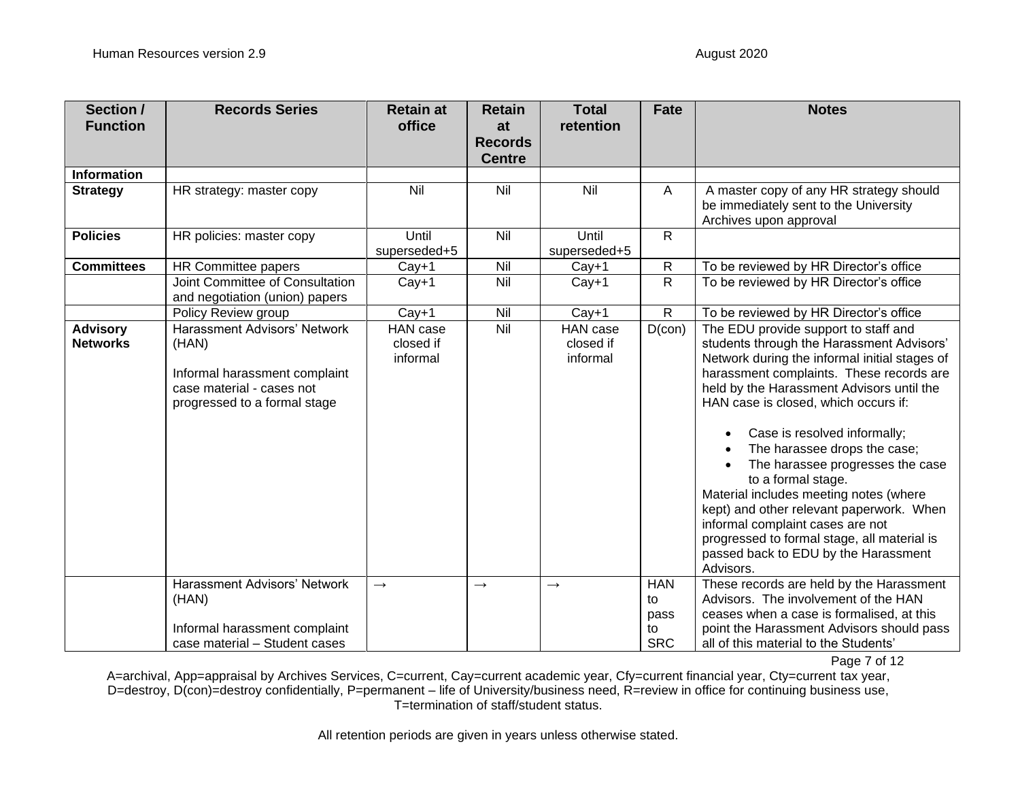| Section /<br><b>Function</b>       | <b>Records Series</b>                                                                                                                      | <b>Retain at</b><br>office        | <b>Retain</b><br>at<br><b>Records</b><br><b>Centre</b> | <b>Total</b><br>retention         | <b>Fate</b>                                  | <b>Notes</b>                                                                                                                                                                                                                                                                                                                                                                                                                                                                                                                                                                                                                |
|------------------------------------|--------------------------------------------------------------------------------------------------------------------------------------------|-----------------------------------|--------------------------------------------------------|-----------------------------------|----------------------------------------------|-----------------------------------------------------------------------------------------------------------------------------------------------------------------------------------------------------------------------------------------------------------------------------------------------------------------------------------------------------------------------------------------------------------------------------------------------------------------------------------------------------------------------------------------------------------------------------------------------------------------------------|
| Information                        |                                                                                                                                            |                                   |                                                        |                                   |                                              |                                                                                                                                                                                                                                                                                                                                                                                                                                                                                                                                                                                                                             |
| <b>Strategy</b>                    | HR strategy: master copy                                                                                                                   | Nil                               | Nil                                                    | Nil                               | A                                            | A master copy of any HR strategy should<br>be immediately sent to the University<br>Archives upon approval                                                                                                                                                                                                                                                                                                                                                                                                                                                                                                                  |
| <b>Policies</b>                    | HR policies: master copy                                                                                                                   | Until<br>superseded+5             | Nil                                                    | Until<br>superseded+5             | $\mathsf{R}$                                 |                                                                                                                                                                                                                                                                                                                                                                                                                                                                                                                                                                                                                             |
| <b>Committees</b>                  | HR Committee papers                                                                                                                        | $Cay+1$                           | Nil                                                    | $Cay+1$                           | ${\sf R}$                                    | To be reviewed by HR Director's office                                                                                                                                                                                                                                                                                                                                                                                                                                                                                                                                                                                      |
|                                    | Joint Committee of Consultation<br>and negotiation (union) papers                                                                          | $Cay+1$                           | Nil                                                    | $Cay+1$                           | R                                            | To be reviewed by HR Director's office                                                                                                                                                                                                                                                                                                                                                                                                                                                                                                                                                                                      |
|                                    | Policy Review group                                                                                                                        | $Cay+1$                           | Nil                                                    | $Cay+1$                           | $\mathsf R$                                  | To be reviewed by HR Director's office                                                                                                                                                                                                                                                                                                                                                                                                                                                                                                                                                                                      |
| <b>Advisory</b><br><b>Networks</b> | <b>Harassment Advisors' Network</b><br>(HAN)<br>Informal harassment complaint<br>case material - cases not<br>progressed to a formal stage | HAN case<br>closed if<br>informal | Nil                                                    | HAN case<br>closed if<br>informal | $D$ (con)                                    | The EDU provide support to staff and<br>students through the Harassment Advisors'<br>Network during the informal initial stages of<br>harassment complaints. These records are<br>held by the Harassment Advisors until the<br>HAN case is closed, which occurs if:<br>Case is resolved informally;<br>The harassee drops the case;<br>The harassee progresses the case<br>to a formal stage.<br>Material includes meeting notes (where<br>kept) and other relevant paperwork. When<br>informal complaint cases are not<br>progressed to formal stage, all material is<br>passed back to EDU by the Harassment<br>Advisors. |
|                                    | Harassment Advisors' Network<br>(HAN)<br>Informal harassment complaint<br>case material - Student cases                                    | $\rightarrow$                     | $\rightarrow$                                          | $\rightarrow$                     | <b>HAN</b><br>to<br>pass<br>to<br><b>SRC</b> | These records are held by the Harassment<br>Advisors. The involvement of the HAN<br>ceases when a case is formalised, at this<br>point the Harassment Advisors should pass<br>all of this material to the Students'                                                                                                                                                                                                                                                                                                                                                                                                         |

Page 7 of 12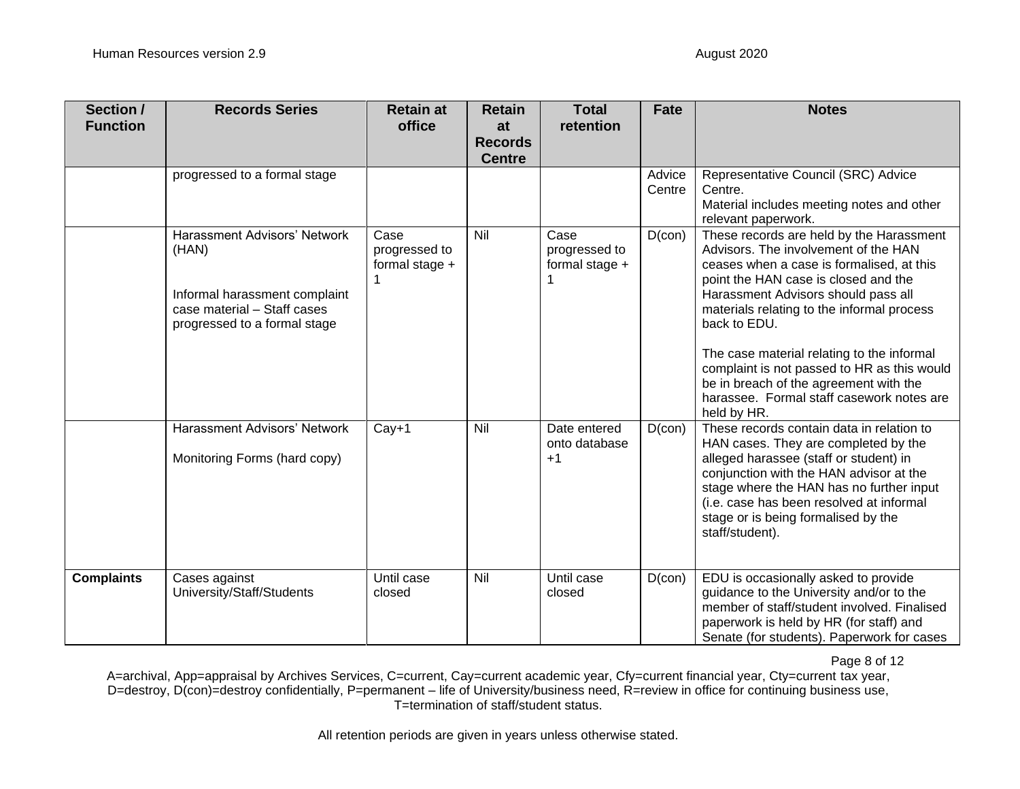| Section /<br><b>Function</b> | <b>Records Series</b>                                                                                                                        | <b>Retain at</b><br>office              | <b>Retain</b><br>at<br><b>Records</b><br><b>Centre</b> | <b>Total</b><br>retention               | <b>Fate</b>      | <b>Notes</b>                                                                                                                                                                                                                                                                                                                                                                                                                                                                  |
|------------------------------|----------------------------------------------------------------------------------------------------------------------------------------------|-----------------------------------------|--------------------------------------------------------|-----------------------------------------|------------------|-------------------------------------------------------------------------------------------------------------------------------------------------------------------------------------------------------------------------------------------------------------------------------------------------------------------------------------------------------------------------------------------------------------------------------------------------------------------------------|
|                              | progressed to a formal stage                                                                                                                 |                                         |                                                        |                                         | Advice<br>Centre | Representative Council (SRC) Advice<br>Centre.<br>Material includes meeting notes and other<br>relevant paperwork.                                                                                                                                                                                                                                                                                                                                                            |
|                              | <b>Harassment Advisors' Network</b><br>(HAN)<br>Informal harassment complaint<br>case material - Staff cases<br>progressed to a formal stage | Case<br>progressed to<br>formal stage + | Nil                                                    | Case<br>progressed to<br>formal stage + | $D$ (con)        | These records are held by the Harassment<br>Advisors. The involvement of the HAN<br>ceases when a case is formalised, at this<br>point the HAN case is closed and the<br>Harassment Advisors should pass all<br>materials relating to the informal process<br>back to EDU.<br>The case material relating to the informal<br>complaint is not passed to HR as this would<br>be in breach of the agreement with the<br>harassee. Formal staff casework notes are<br>held by HR. |
|                              | Harassment Advisors' Network<br>Monitoring Forms (hard copy)                                                                                 | $Cay+1$                                 | Nil                                                    | Date entered<br>onto database<br>$+1$   | $D$ (con)        | These records contain data in relation to<br>HAN cases. They are completed by the<br>alleged harassee (staff or student) in<br>conjunction with the HAN advisor at the<br>stage where the HAN has no further input<br>(i.e. case has been resolved at informal<br>stage or is being formalised by the<br>staff/student).                                                                                                                                                      |
| <b>Complaints</b>            | Cases against<br>University/Staff/Students                                                                                                   | Until case<br>closed                    | Nil                                                    | Until case<br>closed                    | $D$ (con)        | EDU is occasionally asked to provide<br>guidance to the University and/or to the<br>member of staff/student involved. Finalised<br>paperwork is held by HR (for staff) and<br>Senate (for students). Paperwork for cases                                                                                                                                                                                                                                                      |

Page 8 of 12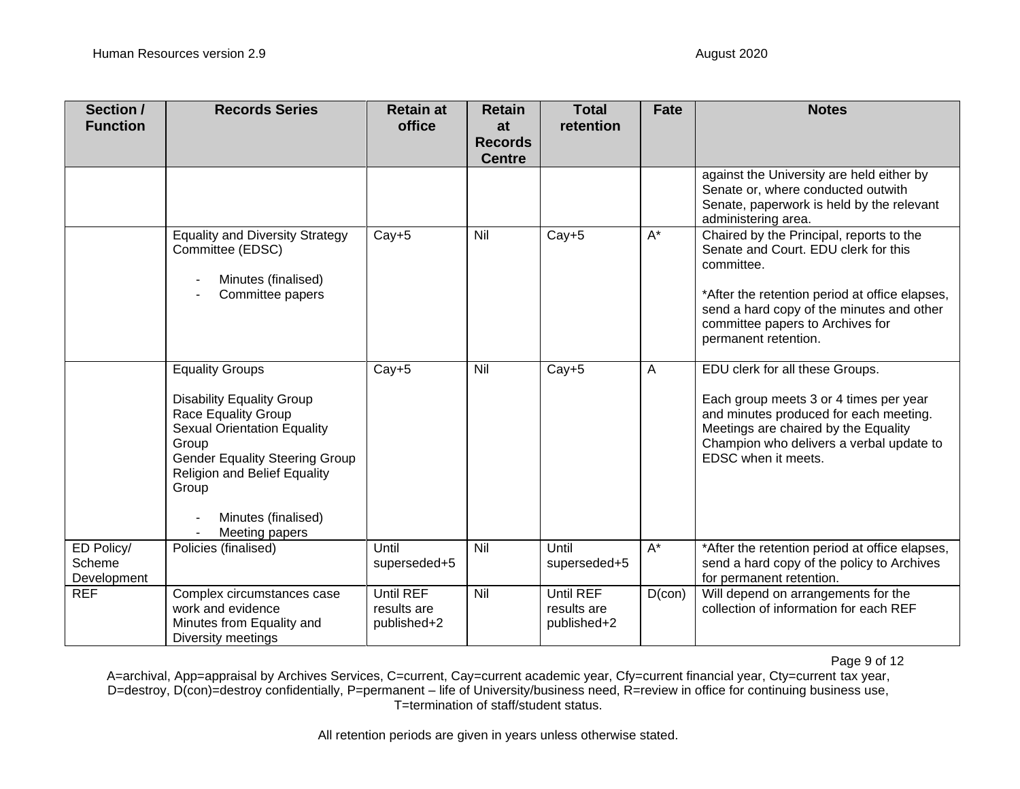| Section /<br><b>Function</b>        | <b>Records Series</b>                                                                                                                                                                                                                                                     | <b>Retain at</b><br>office              | <b>Retain</b><br>at<br><b>Records</b> | <b>Total</b><br>retention               | Fate                 | <b>Notes</b>                                                                                                                                                                                                                                              |
|-------------------------------------|---------------------------------------------------------------------------------------------------------------------------------------------------------------------------------------------------------------------------------------------------------------------------|-----------------------------------------|---------------------------------------|-----------------------------------------|----------------------|-----------------------------------------------------------------------------------------------------------------------------------------------------------------------------------------------------------------------------------------------------------|
|                                     |                                                                                                                                                                                                                                                                           |                                         | <b>Centre</b>                         |                                         |                      | against the University are held either by<br>Senate or, where conducted outwith<br>Senate, paperwork is held by the relevant<br>administering area.                                                                                                       |
|                                     | <b>Equality and Diversity Strategy</b><br>Committee (EDSC)<br>Minutes (finalised)<br>Committee papers                                                                                                                                                                     | $Cay+5$                                 | Nil                                   | $Cay+5$                                 | $A^*$                | Chaired by the Principal, reports to the<br>Senate and Court. EDU clerk for this<br>committee.<br>*After the retention period at office elapses,<br>send a hard copy of the minutes and other<br>committee papers to Archives for<br>permanent retention. |
|                                     | <b>Equality Groups</b><br><b>Disability Equality Group</b><br><b>Race Equality Group</b><br><b>Sexual Orientation Equality</b><br>Group<br><b>Gender Equality Steering Group</b><br><b>Religion and Belief Equality</b><br>Group<br>Minutes (finalised)<br>Meeting papers | $Cay+5$                                 | Nil                                   | $Cay+5$                                 | A                    | EDU clerk for all these Groups.<br>Each group meets 3 or 4 times per year<br>and minutes produced for each meeting.<br>Meetings are chaired by the Equality<br>Champion who delivers a verbal update to<br>EDSC when it meets.                            |
| ED Policy/<br>Scheme<br>Development | Policies (finalised)                                                                                                                                                                                                                                                      | Until<br>superseded+5                   | Nil                                   | Until<br>superseded+5                   | $\mathsf{A}^{\star}$ | *After the retention period at office elapses,<br>send a hard copy of the policy to Archives<br>for permanent retention.                                                                                                                                  |
| <b>REF</b>                          | Complex circumstances case<br>work and evidence<br>Minutes from Equality and<br>Diversity meetings                                                                                                                                                                        | Until REF<br>results are<br>published+2 | Nil                                   | Until REF<br>results are<br>published+2 | $D$ (con)            | Will depend on arrangements for the<br>collection of information for each REF                                                                                                                                                                             |

Page 9 of 12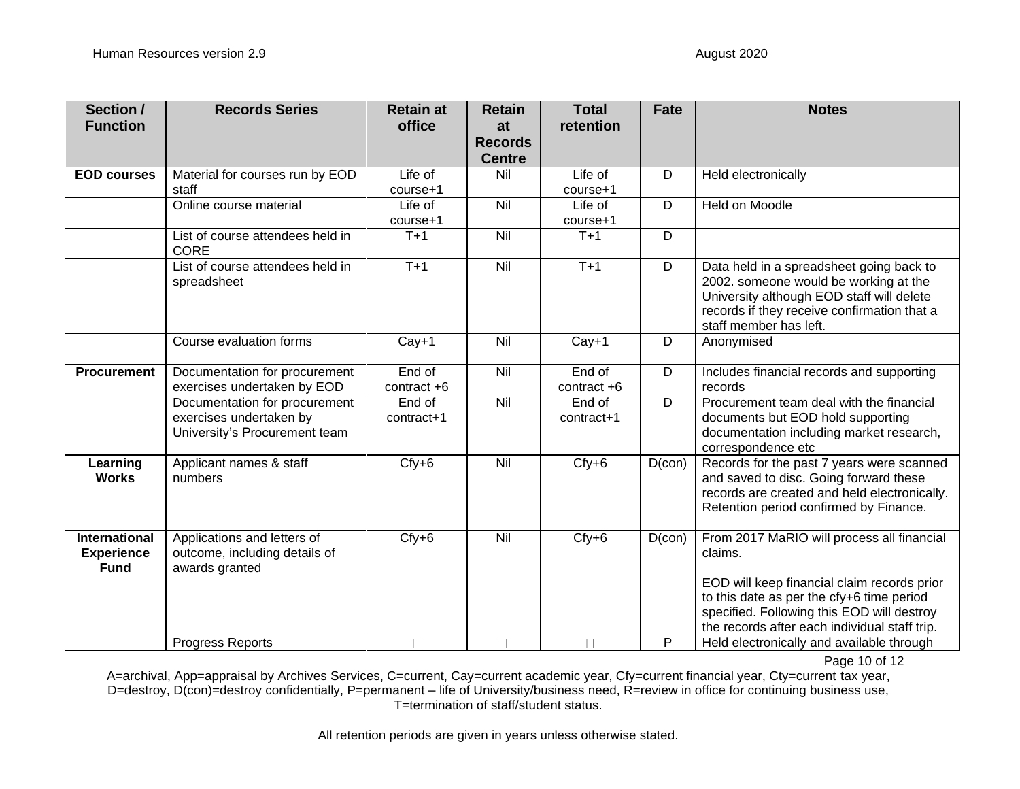| Section /<br><b>Function</b>                             | <b>Records Series</b>                                                                     | <b>Retain at</b><br>office | <b>Retain</b><br>at             | <b>Total</b><br>retention | <b>Fate</b> | <b>Notes</b>                                                                                                                                                                                                                                     |
|----------------------------------------------------------|-------------------------------------------------------------------------------------------|----------------------------|---------------------------------|---------------------------|-------------|--------------------------------------------------------------------------------------------------------------------------------------------------------------------------------------------------------------------------------------------------|
|                                                          |                                                                                           |                            | <b>Records</b><br><b>Centre</b> |                           |             |                                                                                                                                                                                                                                                  |
| <b>EOD courses</b>                                       | Material for courses run by EOD<br>staff                                                  | Life of<br>$course + 1$    | Nil                             | Life of<br>$course + 1$   | D           | Held electronically                                                                                                                                                                                                                              |
|                                                          | Online course material                                                                    | Life of<br>course+1        | Nil                             | Life of<br>course+1       | D           | Held on Moodle                                                                                                                                                                                                                                   |
|                                                          | List of course attendees held in<br><b>CORE</b>                                           | $T+1$                      | Nil                             | $T+1$                     | D           |                                                                                                                                                                                                                                                  |
|                                                          | List of course attendees held in<br>spreadsheet                                           | $T+1$                      | Nil                             | $T+1$                     | D           | Data held in a spreadsheet going back to<br>2002. someone would be working at the<br>University although EOD staff will delete<br>records if they receive confirmation that a<br>staff member has left.                                          |
|                                                          | Course evaluation forms                                                                   | $Cay+1$                    | Nil                             | $Cay+1$                   | D           | Anonymised                                                                                                                                                                                                                                       |
| <b>Procurement</b>                                       | Documentation for procurement<br>exercises undertaken by EOD                              | End of<br>contract +6      | Nil                             | End of<br>contract $+6$   | D           | Includes financial records and supporting<br>records                                                                                                                                                                                             |
|                                                          | Documentation for procurement<br>exercises undertaken by<br>University's Procurement team | End of<br>contract+1       | Nil                             | End of<br>$contract+1$    | D           | Procurement team deal with the financial<br>documents but EOD hold supporting<br>documentation including market research,<br>correspondence etc                                                                                                  |
| Learning<br><b>Works</b>                                 | Applicant names & staff<br>numbers                                                        | $Cfy+6$                    | Nil                             | $Cfy+6$                   | $D$ (con)   | Records for the past 7 years were scanned<br>and saved to disc. Going forward these<br>records are created and held electronically.<br>Retention period confirmed by Finance.                                                                    |
| <b>International</b><br><b>Experience</b><br><b>Fund</b> | Applications and letters of<br>outcome, including details of<br>awards granted            | $Cfy+6$                    | Nil                             | $Cfy+6$                   | $D$ (con)   | From 2017 MaRIO will process all financial<br>claims.<br>EOD will keep financial claim records prior<br>to this date as per the cfy+6 time period<br>specified. Following this EOD will destroy<br>the records after each individual staff trip. |
|                                                          | <b>Progress Reports</b>                                                                   | $\Box$                     | $\Box$                          | $\Box$                    | P           | Held electronically and available through                                                                                                                                                                                                        |

Page 10 of 12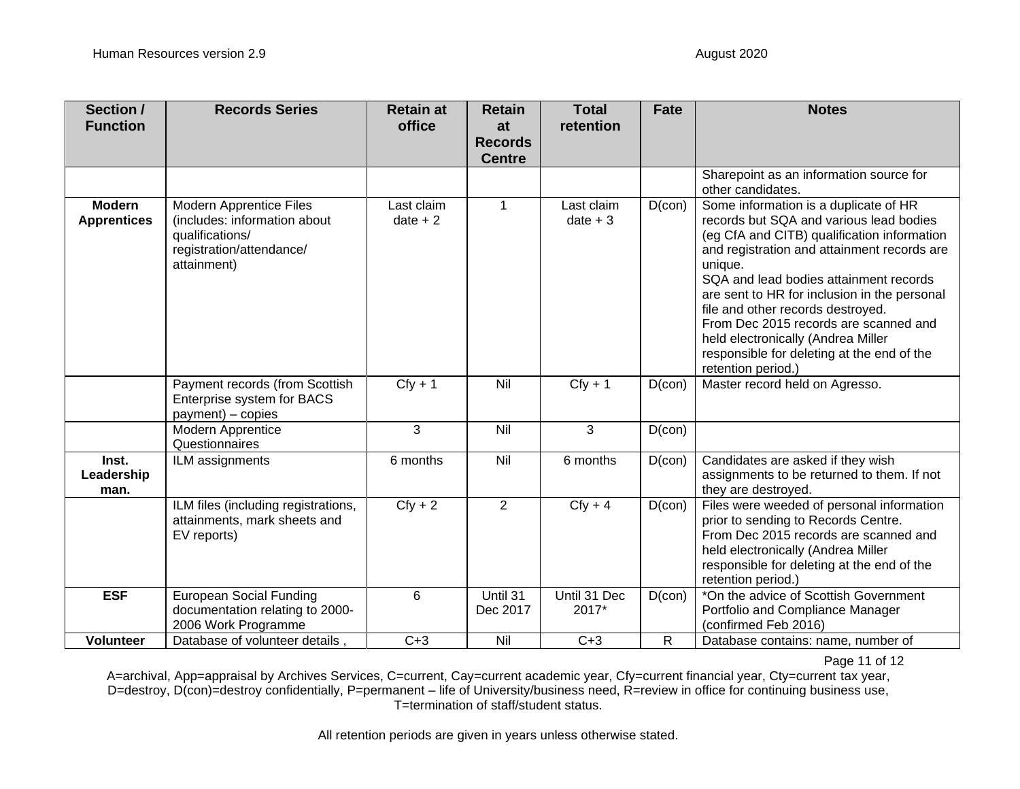| Section /<br><b>Function</b>        | <b>Records Series</b>                                                                                                        | <b>Retain at</b><br>office | <b>Retain</b><br>at<br><b>Records</b><br><b>Centre</b> | <b>Total</b><br>retention | <b>Fate</b>     | <b>Notes</b>                                                                                                                                                                                                                                                                                                                                                                                                                                                                |
|-------------------------------------|------------------------------------------------------------------------------------------------------------------------------|----------------------------|--------------------------------------------------------|---------------------------|-----------------|-----------------------------------------------------------------------------------------------------------------------------------------------------------------------------------------------------------------------------------------------------------------------------------------------------------------------------------------------------------------------------------------------------------------------------------------------------------------------------|
|                                     |                                                                                                                              |                            |                                                        |                           |                 | Sharepoint as an information source for<br>other candidates.                                                                                                                                                                                                                                                                                                                                                                                                                |
| <b>Modern</b><br><b>Apprentices</b> | <b>Modern Apprentice Files</b><br>(includes: information about<br>qualifications/<br>registration/attendance/<br>attainment) | Last claim<br>$date + 2$   | $\mathbf{1}$                                           | Last claim<br>$date + 3$  | $D$ (con)       | Some information is a duplicate of HR<br>records but SQA and various lead bodies<br>(eg CfA and CITB) qualification information<br>and registration and attainment records are<br>unique.<br>SQA and lead bodies attainment records<br>are sent to HR for inclusion in the personal<br>file and other records destroyed.<br>From Dec 2015 records are scanned and<br>held electronically (Andrea Miller<br>responsible for deleting at the end of the<br>retention period.) |
|                                     | Payment records (from Scottish<br>Enterprise system for BACS<br>payment) - copies                                            | $Cfy + 1$                  | Nil                                                    | $Cfy + 1$                 | $D$ (con)       | Master record held on Agresso.                                                                                                                                                                                                                                                                                                                                                                                                                                              |
|                                     | Modern Apprentice<br>Questionnaires                                                                                          | 3                          | Nil                                                    | 3                         | $D(\text{con})$ |                                                                                                                                                                                                                                                                                                                                                                                                                                                                             |
| Inst.<br>Leadership<br>man.         | ILM assignments                                                                                                              | 6 months                   | Nil                                                    | 6 months                  | $D$ (con)       | Candidates are asked if they wish<br>assignments to be returned to them. If not<br>they are destroyed.                                                                                                                                                                                                                                                                                                                                                                      |
|                                     | ILM files (including registrations,<br>attainments, mark sheets and<br>EV reports)                                           | $Cfy + 2$                  | $\overline{2}$                                         | $Cfy + 4$                 | $D$ (con)       | Files were weeded of personal information<br>prior to sending to Records Centre.<br>From Dec 2015 records are scanned and<br>held electronically (Andrea Miller<br>responsible for deleting at the end of the<br>retention period.)                                                                                                                                                                                                                                         |
| <b>ESF</b>                          | <b>European Social Funding</b><br>documentation relating to 2000-<br>2006 Work Programme                                     | $6\phantom{1}$             | Until 31<br>Dec 2017                                   | Until 31 Dec<br>2017*     | $D$ (con)       | *On the advice of Scottish Government<br>Portfolio and Compliance Manager<br>(confirmed Feb 2016)                                                                                                                                                                                                                                                                                                                                                                           |
| <b>Volunteer</b>                    | Database of volunteer details,                                                                                               | $C+3$                      | Nil                                                    | $C+3$                     | R               | Database contains: name, number of                                                                                                                                                                                                                                                                                                                                                                                                                                          |

Page 11 of 12